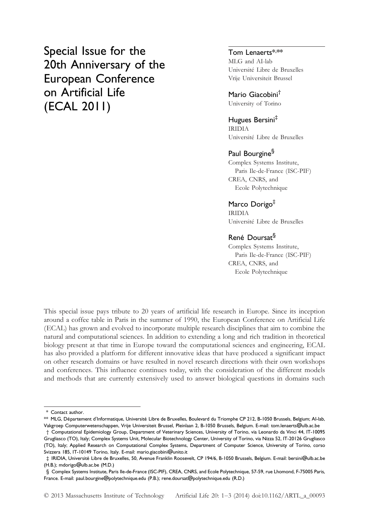Special Issue for the 20th Anniversary of the European Conference on Artificial Life (ECAL 2011)

# Tom Lenaerts\*,\*\*

MLG and AI-lab Université Libre de Bruxelles Vrije Universiteit Brussel

Mario Giacobini† University of Torino

Hugues Bersini‡ IRIDIA Université Libre de Bruxelles

#### Paul Bourgine<sup>§</sup>

Complex Systems Institute, Paris Ile-de-France (ISC-PIF) CREA, CNRS, and Ecole Polytechnique

### Marco Dorigo<sup>‡</sup>

IRIDIA Université Libre de Bruxelles

## René Doursat§

Complex Systems Institute, Paris Ile-de-France (ISC-PIF) CREA, CNRS, and Ecole Polytechnique

This special issue pays tribute to 20 years of artificial life research in Europe. Since its inception around a coffee table in Paris in the summer of 1990, the European Conference on Artificial Life (ECAL) has grown and evolved to incorporate multiple research disciplines that aim to combine the natural and computational sciences. In addition to extending a long and rich tradition in theoretical biology present at that time in Europe toward the computational sciences and engineering, ECAL has also provided a platform for different innovative ideas that have produced a significant impact on other research domains or have resulted in novel research directions with their own workshops and conferences. This influence continues today, with the consideration of the different models and methods that are currently extensively used to answer biological questions in domains such

<sup>\*</sup> Contact author.

<sup>\*\*</sup> MLG, Département d'Informatique, Université Libre de Bruxelles, Boulevard du Triomphe CP 212, B-1050 Brussels, Belgium; AI-lab, Vakgroep Computerwetenschappen, Vrije Universiteit Brussel, Pleinlaan 2, B-1050 Brussels, Belgium. E-mail: tom.lenaerts@ulb.ac.be

<sup>†</sup> Computational Epidemiology Group, Department of Veterinary Sciences, University of Torino, via Leonardo da Vinci 44, IT-10095 Grugliasco (TO), Italy; Complex Systems Unit, Molecular Biotechnology Center, University of Torino, via Nizza 52, IT-20126 Grugliasco (TO), Italy; Applied Research on Computational Complex Systems, Department of Computer Science, University of Torino, corso Svizzera 185, IT-10149 Torino, Italy. E-mail: mario.giacobini@unito.it

<sup>‡</sup> IRIDIA, Université Libre de Bruxelles, 50, Avenue Franklin Roosevelt, CP 194/6, B-1050 Brussels, Belgium. E-mail: bersini@ulb.ac.be (H.B.); mdorigo@ulb.ac.be (M.D.)

<sup>§</sup> Complex Systems Institute, Paris Ile-de-France (ISC-PIF), CREA, CNRS, and Ecole Polytechnique, 57-59, rue Lhomond, F-75005 Paris, France. E-mail: paul.bourgine@polytechnique.edu (P.B.); rene.doursat@polytechnique.edu (R.D.)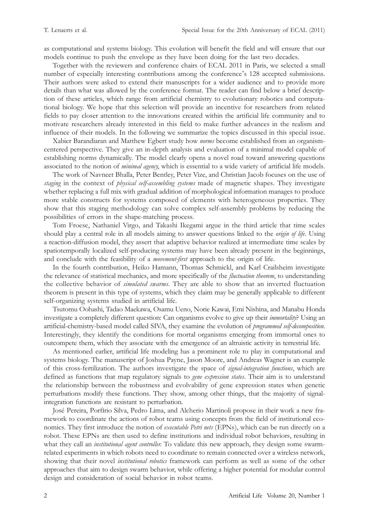as computational and systems biology. This evolution will benefit the field and will ensure that our models continue to push the envelope as they have been doing for the last two decades.

Together with the reviewers and conference chairs of ECAL 2011 in Paris, we selected a small number of especially interesting contributions among the conference's 128 accepted submissions. Their authors were asked to extend their manuscripts for a wider audience and to provide more details than what was allowed by the conference format. The reader can find below a brief description of these articles, which range from artificial chemistry to evolutionary robotics and computational biology. We hope that this selection will provide an incentive for researchers from related fields to pay closer attention to the innovations created within the artificial life community and to motivate researchers already interested in this field to make further advances in the realism and influence of their models. In the following we summarize the topics discussed in this special issue.

Xabier Barandiaran and Matthew Egbert study how norms become established from an organismcentered perspective. They give an in-depth analysis and evaluation of a minimal model capable of establishing norms dynamically. The model clearly opens a novel road toward answering questions associated to the notion of *minimal agency*, which is essential to a wide variety of artificial life models.

The work of Navneet Bhalla, Peter Bentley, Peter Vize, and Christian Jacob focuses on the use of staging in the context of *physical self-assembling systems* made of magnetic shapes. They investigate whether replacing a full mix with gradual addition of morphological information manages to produce more stable constructs for systems composed of elements with heterogeneous properties. They show that this staging methodology can solve complex self-assembly problems by reducing the possibilities of errors in the shape-matching process.

Tom Froese, Nathaniel Virgo, and Takashi Ikegami argue in the third article that time scales should play a central role in all models aiming to answer questions linked to the origin of life. Using a reaction-diffusion model, they assert that adaptive behavior realized at intermediate time scales by spatiotemporally localized self-producing systems may have been already present in the beginnings, and conclude with the feasibility of a *movement-first* approach to the origin of life.

In the fourth contribution, Heiko Hamann, Thomas Schmickl, and Karl Crailsheim investigate the relevance of statistical mechanics, and more specifically of the *fluctuation theorem*, to understanding the collective behavior of *simulated swarms*. They are able to show that an inverted fluctuation theorem is present in this type of systems, which they claim may be generally applicable to different self-organizing systems studied in artificial life.

Tsutomu Oohashi, Tadao Maekawa, Osamu Ueno, Norie Kawai, Emi Nishina, and Manabu Honda investigate a completely different question: Can organisms evolve to give up their immortality? Using an artificial-chemistry-based model called SIVA, they examine the evolution of programmed self-decomposition. Interestingly, they identify the conditions for mortal organisms emerging from immortal ones to outcompete them, which they associate with the emergence of an altruistic activity in terrestrial life.

As mentioned earlier, artificial life modeling has a prominent role to play in computational and systems biology. The manuscript of Joshua Payne, Jason Moore, and Andreas Wagner is an example of this cross-fertilization. The authors investigate the space of signal-integration functions, which are defined as functions that map regulatory signals to *gene expression states*. Their aim is to understand the relationship between the robustness and evolvability of gene expression states when genetic perturbations modify these functions. They show, among other things, that the majority of signalintegration functions are resistant to perturbation.

José Pereira, Porfírio Silva, Pedro Lima, and Alcherio Martinoli propose in their work a new framework to coordinate the actions of robot teams using concepts from the field of institutional economics. They first introduce the notion of executable Petri nets (EPNs), which can be run directly on a robot. These EPNs are then used to define institutions and individual robot behaviors, resulting in what they call an *institutional agent controller*. To validate this new approach, they design some swarmrelated experiments in which robots need to coordinate to remain connected over a wireless network, showing that their novel *institutional robotics* framework can perform as well as some of the other approaches that aim to design swarm behavior, while offering a higher potential for modular control design and consideration of social behavior in robot teams.